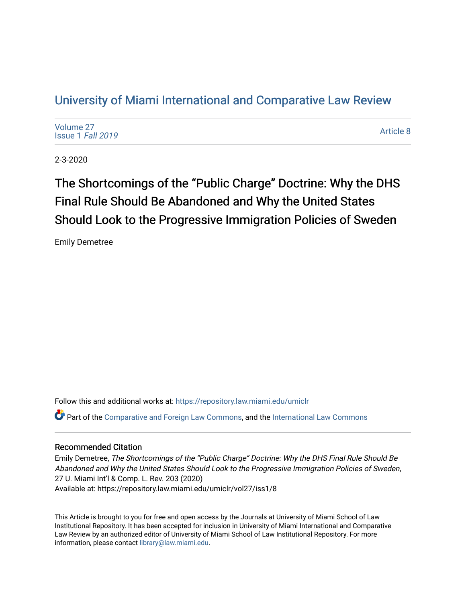# [University of Miami International and Comparative Law Review](https://repository.law.miami.edu/umiclr)

| Volume 27<br>Issue 1 Fall 2019 | Article 8 |
|--------------------------------|-----------|
|--------------------------------|-----------|

2-3-2020

The Shortcomings of the "Public Charge" Doctrine: Why the DHS Final Rule Should Be Abandoned and Why the United States Should Look to the Progressive Immigration Policies of Sweden

Emily Demetree

Follow this and additional works at: [https://repository.law.miami.edu/umiclr](https://repository.law.miami.edu/umiclr?utm_source=repository.law.miami.edu%2Fumiclr%2Fvol27%2Fiss1%2F8&utm_medium=PDF&utm_campaign=PDFCoverPages)

Part of the [Comparative and Foreign Law Commons,](http://network.bepress.com/hgg/discipline/836?utm_source=repository.law.miami.edu%2Fumiclr%2Fvol27%2Fiss1%2F8&utm_medium=PDF&utm_campaign=PDFCoverPages) and the [International Law Commons](http://network.bepress.com/hgg/discipline/609?utm_source=repository.law.miami.edu%2Fumiclr%2Fvol27%2Fiss1%2F8&utm_medium=PDF&utm_campaign=PDFCoverPages)

## Recommended Citation

Emily Demetree, The Shortcomings of the "Public Charge" Doctrine: Why the DHS Final Rule Should Be Abandoned and Why the United States Should Look to the Progressive Immigration Policies of Sweden, 27 U. Miami Int'l & Comp. L. Rev. 203 (2020) Available at: https://repository.law.miami.edu/umiclr/vol27/iss1/8

This Article is brought to you for free and open access by the Journals at University of Miami School of Law Institutional Repository. It has been accepted for inclusion in University of Miami International and Comparative Law Review by an authorized editor of University of Miami School of Law Institutional Repository. For more information, please contact [library@law.miami.edu](mailto:library@law.miami.edu).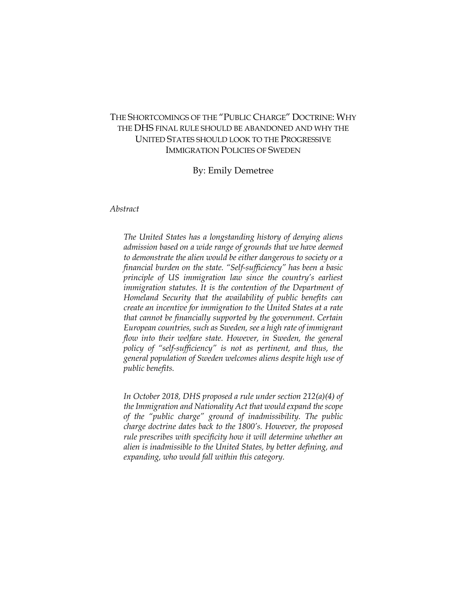# THE SHORTCOMINGS OF THE "PUBLIC CHARGE" DOCTRINE: WHY THE DHS FINAL RULE SHOULD BE ABANDONED AND WHY THE UNITED STATES SHOULD LOOK TO THE PROGRESSIVE IMMIGRATION POLICIES OF SWEDEN

## By: Emily Demetree

*Abstract*

*The United States has a longstanding history of denying aliens admission based on a wide range of grounds that we have deemed to demonstrate the alien would be either dangerous to society or a financial burden on the state. "Self-sufficiency" has been a basic principle of US immigration law since the country's earliest immigration statutes. It is the contention of the Department of Homeland Security that the availability of public benefits can create an incentive for immigration to the United States at a rate that cannot be financially supported by the government. Certain European countries, such as Sweden, see a high rate of immigrant flow into their welfare state. However, in Sweden, the general policy of "self-sufficiency" is not as pertinent, and thus, the general population of Sweden welcomes aliens despite high use of public benefits.*

*In October 2018, DHS proposed a rule under section 212(a)(4) of the Immigration and Nationality Act that would expand the scope of the "public charge" ground of inadmissibility. The public charge doctrine dates back to the 1800's. However, the proposed rule prescribes with specificity how it will determine whether an alien is inadmissible to the United States, by better defining, and expanding, who would fall within this category.*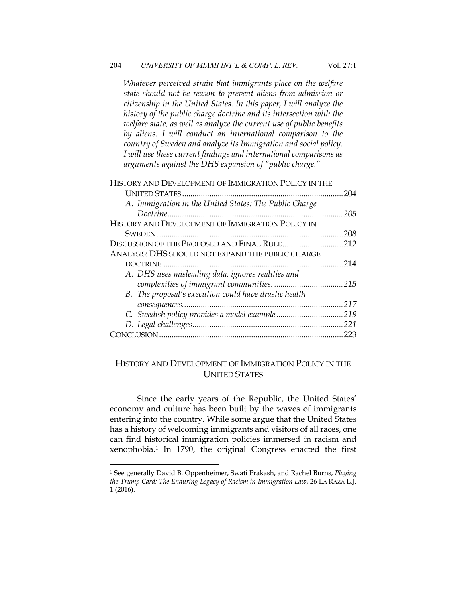*Whatever perceived strain that immigrants place on the welfare state should not be reason to prevent aliens from admission or citizenship in the United States. In this paper, I will analyze the history of the public charge doctrine and its intersection with the welfare state, as well as analyze the current use of public benefits by aliens. I will conduct an international comparison to the country of Sweden and analyze its Immigration and social policy. I will use these current findings and international comparisons as arguments against the DHS expansion of "public charge."*

| HISTORY AND DEVELOPMENT OF IMMIGRATION POLICY IN THE   |     |
|--------------------------------------------------------|-----|
|                                                        | 204 |
| A. Immigration in the United States: The Public Charge |     |
|                                                        | 205 |
| HISTORY AND DEVELOPMENT OF IMMIGRATION POLICY IN       |     |
|                                                        | 208 |
| DISCUSSION OF THE PROPOSED AND FINAL RULE              | 212 |
| ANALYSIS: DHS SHOULD NOT EXPAND THE PUBLIC CHARGE      |     |
|                                                        | 214 |
| A. DHS uses misleading data, ignores realities and     |     |
|                                                        |     |
| B. The proposal's execution could have drastic health  |     |
|                                                        | 217 |
|                                                        |     |
|                                                        | 221 |
|                                                        | 223 |
|                                                        |     |

# HISTORY AND DEVELOPMENT OF IMMIGRATION POLICY IN THE UNITED STATES

Since the early years of the Republic, the United States' economy and culture has been built by the waves of immigrants entering into the country. While some argue that the United States has a history of welcoming immigrants and visitors of all races, one can find historical immigration policies immersed in racism and xenophobia.1 In 1790, the original Congress enacted the first

<sup>1</sup> See generally David B. Oppenheimer, Swati Prakash, and Rachel Burns, *Playing the Trump Card: The Enduring Legacy of Racism in Immigration Law*, 26 LA RAZA L.J. 1 (2016).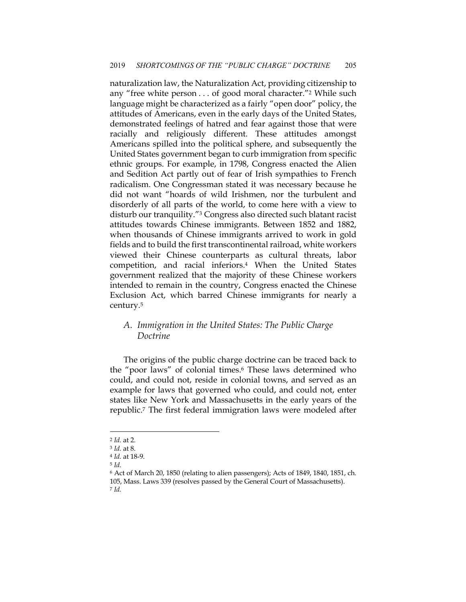naturalization law, the Naturalization Act, providing citizenship to any "free white person . . . of good moral character."2 While such language might be characterized as a fairly "open door" policy, the attitudes of Americans, even in the early days of the United States, demonstrated feelings of hatred and fear against those that were racially and religiously different. These attitudes amongst Americans spilled into the political sphere, and subsequently the United States government began to curb immigration from specific ethnic groups. For example, in 1798, Congress enacted the Alien and Sedition Act partly out of fear of Irish sympathies to French radicalism. One Congressman stated it was necessary because he did not want "hoards of wild Irishmen, nor the turbulent and disorderly of all parts of the world, to come here with a view to disturb our tranquility."3 Congress also directed such blatant racist attitudes towards Chinese immigrants. Between 1852 and 1882, when thousands of Chinese immigrants arrived to work in gold fields and to build the first transcontinental railroad, white workers viewed their Chinese counterparts as cultural threats, labor competition, and racial inferiors.4 When the United States government realized that the majority of these Chinese workers intended to remain in the country, Congress enacted the Chinese Exclusion Act, which barred Chinese immigrants for nearly a century.5

# *A. Immigration in the United States: The Public Charge Doctrine*

The origins of the public charge doctrine can be traced back to the "poor laws" of colonial times.6 These laws determined who could, and could not, reside in colonial towns, and served as an example for laws that governed who could, and could not, enter states like New York and Massachusetts in the early years of the republic.7 The first federal immigration laws were modeled after

<sup>5</sup> *Id.*

<sup>2</sup> *Id.* at 2.

<sup>3</sup> *Id.* at 8.

<sup>4</sup> *Id.* at 18-9.

<sup>6</sup> Act of March 20, 1850 (relating to alien passengers); Acts of 1849, 1840, 1851, ch. 105, Mass. Laws 339 (resolves passed by the General Court of Massachusetts). <sup>7</sup> *Id.*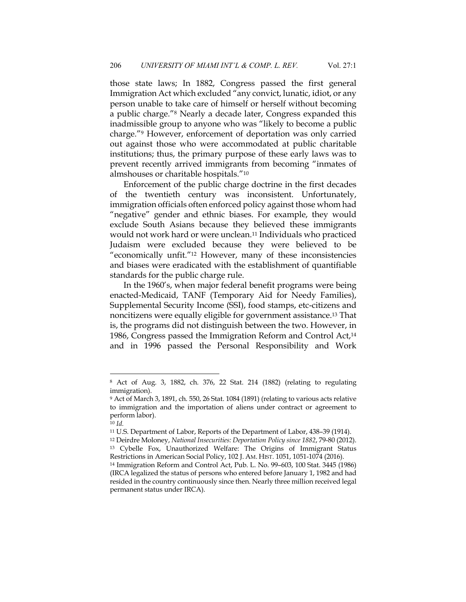those state laws; In 1882, Congress passed the first general Immigration Act which excluded "any convict, lunatic, idiot, or any person unable to take care of himself or herself without becoming a public charge."8 Nearly a decade later, Congress expanded this inadmissible group to anyone who was "likely to become a public charge."9 However, enforcement of deportation was only carried out against those who were accommodated at public charitable institutions; thus, the primary purpose of these early laws was to prevent recently arrived immigrants from becoming "inmates of almshouses or charitable hospitals."10

Enforcement of the public charge doctrine in the first decades of the twentieth century was inconsistent. Unfortunately, immigration officials often enforced policy against those whom had "negative" gender and ethnic biases. For example, they would exclude South Asians because they believed these immigrants would not work hard or were unclean.11 Individuals who practiced Judaism were excluded because they were believed to be "economically unfit."12 However, many of these inconsistencies and biases were eradicated with the establishment of quantifiable standards for the public charge rule.

In the 1960's, when major federal benefit programs were being enacted-Medicaid, TANF (Temporary Aid for Needy Families), Supplemental Security Income (SSI), food stamps, etc-citizens and noncitizens were equally eligible for government assistance.13 That is, the programs did not distinguish between the two. However, in 1986, Congress passed the Immigration Reform and Control Act,14 and in 1996 passed the Personal Responsibility and Work

<sup>8</sup> Act of Aug. 3, 1882, ch. 376, 22 Stat. 214 (1882) (relating to regulating immigration).

<sup>9</sup> Act of March 3, 1891, ch. 550, 26 Stat. 1084 (1891) (relating to various acts relative to immigration and the importation of aliens under contract or agreement to perform labor).

<sup>10</sup> *Id.*

<sup>11</sup> U.S. Department of Labor, Reports of the Department of Labor, 438–39 (1914).

<sup>12</sup> Deirdre Moloney, *National Insecurities: Deportation Policy since 1882*, 79-80 (2012). <sup>13</sup> Cybelle Fox, Unauthorized Welfare: The Origins of Immigrant Status Restrictions in American Social Policy, 102 J. AM. HIST. 1051, 1051-1074 (2016).

<sup>14</sup> Immigration Reform and Control Act, Pub. L. No. 99–603, 100 Stat. 3445 (1986) (IRCA legalized the status of persons who entered before January 1, 1982 and had resided in the country continuously since then. Nearly three million received legal permanent status under IRCA).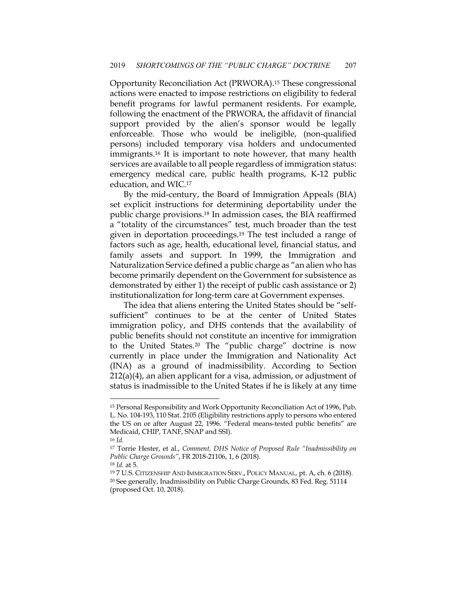Opportunity Reconciliation Act (PRWORA).15 These congressional actions were enacted to impose restrictions on eligibility to federal benefit programs for lawful permanent residents. For example, following the enactment of the PRWORA, the affidavit of financial support provided by the alien's sponsor would be legally enforceable. Those who would be ineligible, (non-qualified persons) included temporary visa holders and undocumented immigrants.16 It is important to note however, that many health services are available to all people regardless of immigration status: emergency medical care, public health programs, K-12 public education, and WIC.17

By the mid-century, the Board of Immigration Appeals (BIA) set explicit instructions for determining deportability under the public charge provisions.18 In admission cases, the BIA reaffirmed a "totality of the circumstances" test, much broader than the test given in deportation proceedings.19 The test included a range of factors such as age, health, educational level, financial status, and family assets and support. In 1999, the Immigration and Naturalization Service defined a public charge as "an alien who has become primarily dependent on the Government for subsistence as demonstrated by either 1) the receipt of public cash assistance or 2) institutionalization for long-term care at Government expenses.

The idea that aliens entering the United States should be "selfsufficient" continues to be at the center of United States immigration policy, and DHS contends that the availability of public benefits should not constitute an incentive for immigration to the United States.20 The "public charge" doctrine is now currently in place under the Immigration and Nationality Act (INA) as a ground of inadmissibility. According to Section  $212(a)(4)$ , an alien applicant for a visa, admission, or adjustment of status is inadmissible to the United States if he is likely at any time

<sup>15</sup> Personal Responsibility and Work Opportunity Reconciliation Act of 1996, Pub. L. No. 104-193, 110 Stat. 2105 (Eligibility restrictions apply to persons who entered the US on or after August 22, 1996. "Federal means-tested public benefits" are Medicaid, CHIP, TANF, SNAP and SSI).

<sup>16</sup> *Id.*

<sup>17</sup> Torrie Hester, et al., *Comment, DHS Notice of Proposed Rule "Inadmissibility on Public Charge Grounds"*, FR 2018-21106, 1, 6 (2018).

<sup>18</sup> *Id.* at 5.

<sup>19</sup> 7 U.S. CITIZENSHIP AND IMMIGRATION SERV., POLICY MANUAL, pt. A, ch. 6 (2018). <sup>20</sup> See generally, Inadmissibility on Public Charge Grounds, 83 Fed. Reg. 51114 (proposed Oct. 10, 2018).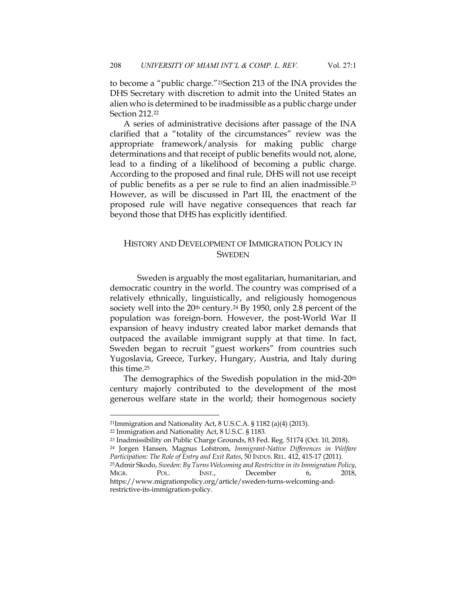to become a "public charge."21Section 213 of the INA provides the DHS Secretary with discretion to admit into the United States an alien who is determined to be inadmissible as a public charge under Section 212.22

A series of administrative decisions after passage of the INA clarified that a "totality of the circumstances" review was the appropriate framework/analysis for making public charge determinations and that receipt of public benefits would not, alone, lead to a finding of a likelihood of becoming a public charge. According to the proposed and final rule, DHS will not use receipt of public benefits as a per se rule to find an alien inadmissible.23 However, as will be discussed in Part III, the enactment of the proposed rule will have negative consequences that reach far beyond those that DHS has explicitly identified.

# HISTORY AND DEVELOPMENT OF IMMIGRATION POLICY IN **SWEDEN**

Sweden is arguably the most egalitarian, humanitarian, and democratic country in the world. The country was comprised of a relatively ethnically, linguistically, and religiously homogenous society well into the  $20th$  century.<sup>24</sup> By 1950, only 2.8 percent of the population was foreign-born. However, the post-World War II expansion of heavy industry created labor market demands that outpaced the available immigrant supply at that time. In fact, Sweden began to recruit "guest workers" from countries such Yugoslavia, Greece, Turkey, Hungary, Austria, and Italy during this time.25

The demographics of the Swedish population in the mid-20th century majorly contributed to the development of the most generous welfare state in the world; their homogenous society

<sup>24</sup> Jorgen Hansen, Magnus Lofstrom, *Immigrant-Native Differences in Welfare Participation: The Role of Entry and Exit Rates*, 50 INDUS. REL. 412, 415-17 (2011).

<sup>21</sup>Immigration and Nationality Act, 8 U.S.C.A. § 1182 (a)(4) (2013).

<sup>22</sup> Immigration and Nationality Act, 8 U.S.C. § 1183.

<sup>23</sup> Inadmissibility on Public Charge Grounds, 83 Fed. Reg. 51174 (Oct. 10, 2018).

<sup>25</sup>Admir Skodo, *Sweden: By Turns Welcoming and Restrictivein itsImmigration Policy*, MIGR. POL. INST., December 6, 2018, https://www.migrationpolicy.org/article/sweden-turns-welcoming-andrestrictive-its-immigration-policy.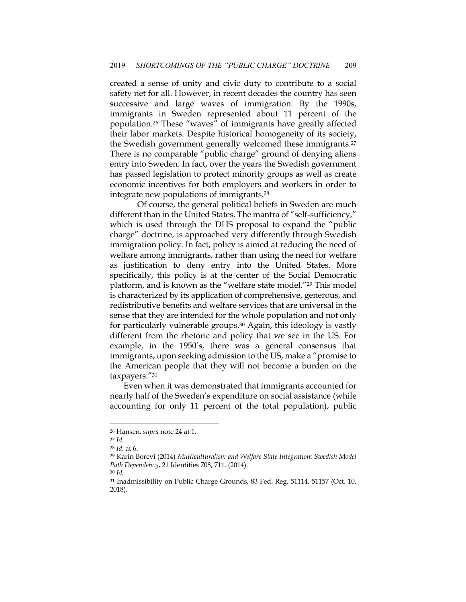created a sense of unity and civic duty to contribute to a social safety net for all. However, in recent decades the country has seen successive and large waves of immigration. By the 1990s, immigrants in Sweden represented about 11 percent of the population.26 These "waves" of immigrants have greatly affected their labor markets. Despite historical homogeneity of its society, the Swedish government generally welcomed these immigrants.27 There is no comparable "public charge" ground of denying aliens entry into Sweden. In fact, over the years the Swedish government has passed legislation to protect minority groups as well as create economic incentives for both employers and workers in order to integrate new populations of immigrants.28

Of course, the general political beliefs in Sweden are much different than in the United States. The mantra of "self-sufficiency," which is used through the DHS proposal to expand the "public charge" doctrine, is approached very differently through Swedish immigration policy. In fact, policy is aimed at reducing the need of welfare among immigrants, rather than using the need for welfare as justification to deny entry into the United States. More specifically, this policy is at the center of the Social Democratic platform, and is known as the "welfare state model."29 This model is characterized by its application of comprehensive, generous, and redistributive benefits and welfare services that are universal in the sense that they are intended for the whole population and not only for particularly vulnerable groups.30 Again, this ideology is vastly different from the rhetoric and policy that we see in the US. For example, in the 1950's, there was a general consensus that immigrants, upon seeking admission to the US, make a "promise to the American people that they will not become a burden on the taxpayers."31

Even when it was demonstrated that immigrants accounted for nearly half of the Sweden's expenditure on social assistance (while accounting for only 11 percent of the total population), public

<sup>26</sup> Hansen, *supra* note 24 at 1.

<sup>27</sup> *Id.*

<sup>28</sup> *Id.* at 6.

<sup>29</sup> Karin Borevi (2014) *Multiculturalism and Welfare State Integration: Swedish Model Path Dependency*, 21 Identities 708, 711. (2014).

<sup>30</sup> *Id.*

<sup>31</sup> Inadmissibility on Public Charge Grounds, 83 Fed. Reg. 51114, 51157 (Oct. 10, 2018).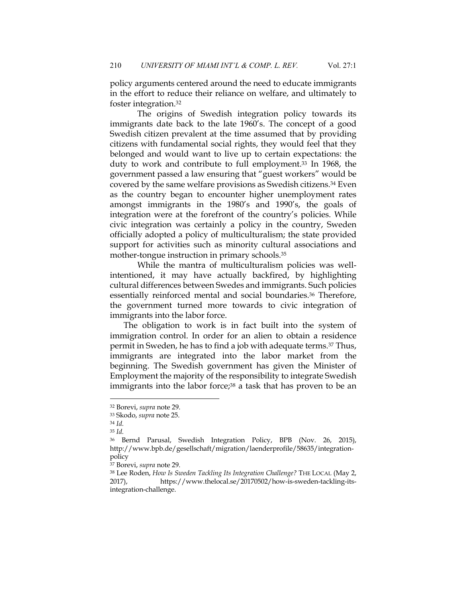policy arguments centered around the need to educate immigrants in the effort to reduce their reliance on welfare, and ultimately to foster integration.32

The origins of Swedish integration policy towards its immigrants date back to the late 1960's. The concept of a good Swedish citizen prevalent at the time assumed that by providing citizens with fundamental social rights, they would feel that they belonged and would want to live up to certain expectations: the duty to work and contribute to full employment.33 In 1968, the government passed a law ensuring that "guest workers" would be covered by the same welfare provisions as Swedish citizens.34 Even as the country began to encounter higher unemployment rates amongst immigrants in the 1980's and 1990's, the goals of integration were at the forefront of the country's policies. While civic integration was certainly a policy in the country, Sweden officially adopted a policy of multiculturalism; the state provided support for activities such as minority cultural associations and mother-tongue instruction in primary schools.35

While the mantra of multiculturalism policies was wellintentioned, it may have actually backfired, by highlighting cultural differences between Swedes and immigrants. Such policies essentially reinforced mental and social boundaries.36 Therefore, the government turned more towards to civic integration of immigrants into the labor force.

The obligation to work is in fact built into the system of immigration control. In order for an alien to obtain a residence permit in Sweden, he has to find a job with adequate terms.37 Thus, immigrants are integrated into the labor market from the beginning. The Swedish government has given the Minister of Employment the majority of the responsibility to integrate Swedish immigrants into the labor force;<sup>38</sup> a task that has proven to be an

<sup>32</sup> Borevi, *supra* note 29.

<sup>33</sup> Skodo, *supra* note 25.

<sup>34</sup> *Id.*

<sup>35</sup> *Id.*

<sup>36</sup> Bernd Parusal, Swedish Integration Policy, BPB (Nov. 26, 2015), http://www.bpb.de/gesellschaft/migration/laenderprofile/58635/integrationpolicy

<sup>37</sup> Borevi, *supra* note 29.

<sup>38</sup> Lee Roden, *How Is Sweden Tackling Its Integration Challenge?* THE LOCAL (May 2, 2017), https://www.thelocal.se/20170502/how-is-sweden-tackling-itsintegration-challenge.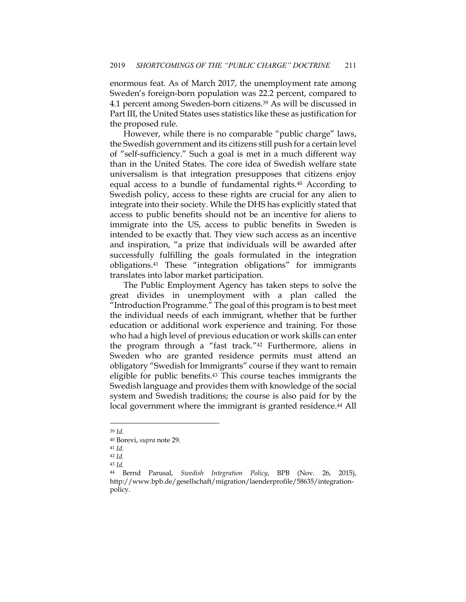enormous feat. As of March 2017, the unemployment rate among Sweden's foreign-born population was 22.2 percent, compared to 4.1 percent among Sweden-born citizens.39 As will be discussed in Part III, the United States uses statistics like these as justification for the proposed rule.

However, while there is no comparable "public charge" laws, the Swedish government and its citizens still push for a certain level of "self-sufficiency." Such a goal is met in a much different way than in the United States. The core idea of Swedish welfare state universalism is that integration presupposes that citizens enjoy equal access to a bundle of fundamental rights.40 According to Swedish policy, access to these rights are crucial for any alien to integrate into their society. While the DHS has explicitly stated that access to public benefits should not be an incentive for aliens to immigrate into the US, access to public benefits in Sweden is intended to be exactly that. They view such access as an incentive and inspiration, "a prize that individuals will be awarded after successfully fulfilling the goals formulated in the integration obligations.41 These "integration obligations" for immigrants translates into labor market participation.

The Public Employment Agency has taken steps to solve the great divides in unemployment with a plan called the "Introduction Programme." The goal of this program is to best meet the individual needs of each immigrant, whether that be further education or additional work experience and training. For those who had a high level of previous education or work skills can enter the program through a "fast track."42 Furthermore, aliens in Sweden who are granted residence permits must attend an obligatory "Swedish for Immigrants" course if they want to remain eligible for public benefits.43 This course teaches immigrants the Swedish language and provides them with knowledge of the social system and Swedish traditions; the course is also paid for by the local government where the immigrant is granted residence.<sup>44</sup> All

<sup>43</sup> *Id.*

<sup>39</sup> *Id.*

<sup>40</sup> Borevi, *supra* note 29.

<sup>41</sup> *Id.*

<sup>42</sup> *Id.*

<sup>44</sup> Bernd Parusal, *Swedish Integration Policy*, BPB (Nov. 26, 2015), http://www.bpb.de/gesellschaft/migration/laenderprofile/58635/integrationpolicy.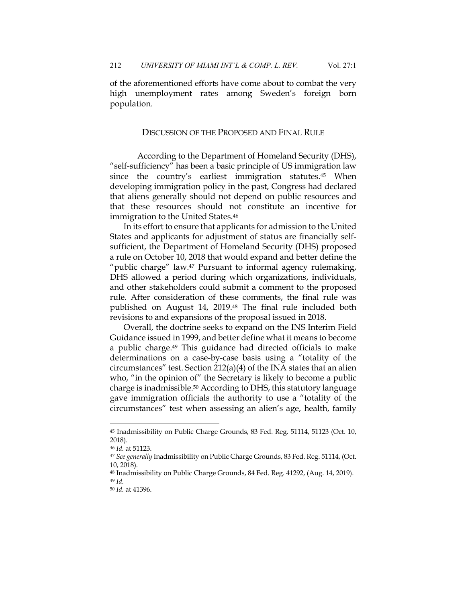of the aforementioned efforts have come about to combat the very high unemployment rates among Sweden's foreign born population.

#### DISCUSSION OF THE PROPOSED AND FINAL RULE

According to the Department of Homeland Security (DHS), "self-sufficiency" has been a basic principle of US immigration law since the country's earliest immigration statutes.45 When developing immigration policy in the past, Congress had declared that aliens generally should not depend on public resources and that these resources should not constitute an incentive for immigration to the United States.46

In its effort to ensure that applicants for admission to the United States and applicants for adjustment of status are financially selfsufficient, the Department of Homeland Security (DHS) proposed a rule on October 10, 2018 that would expand and better define the "public charge" law.<sup>47</sup> Pursuant to informal agency rulemaking, DHS allowed a period during which organizations, individuals, and other stakeholders could submit a comment to the proposed rule. After consideration of these comments, the final rule was published on August 14, 2019.48 The final rule included both revisions to and expansions of the proposal issued in 2018.

Overall, the doctrine seeks to expand on the INS Interim Field Guidance issued in 1999, and better define what it means to become a public charge.49 This guidance had directed officials to make determinations on a case-by-case basis using a "totality of the circumstances" test. Section 212(a)(4) of the INA states that an alien who, "in the opinion of" the Secretary is likely to become a public charge is inadmissible.50 According to DHS, this statutory language gave immigration officials the authority to use a "totality of the circumstances" test when assessing an alien's age, health, family

<sup>45</sup> Inadmissibility on Public Charge Grounds, 83 Fed. Reg. 51114, 51123 (Oct. 10, 2018).

<sup>46</sup> *Id.* at 51123.

<sup>47</sup> *See generally* Inadmissibility on Public Charge Grounds, 83 Fed. Reg. 51114, (Oct. 10, 2018).

<sup>48</sup> Inadmissibility on Public Charge Grounds, 84 Fed. Reg. 41292, (Aug. 14, 2019). <sup>49</sup> *Id.*

<sup>50</sup> *Id.* at 41396.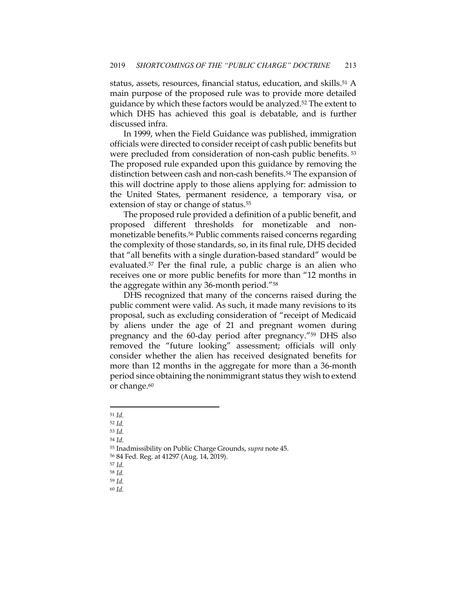status, assets, resources, financial status, education, and skills.51 A main purpose of the proposed rule was to provide more detailed guidance by which these factors would be analyzed.<sup>52</sup> The extent to which DHS has achieved this goal is debatable, and is further discussed infra.

In 1999, when the Field Guidance was published, immigration officials were directed to consider receipt of cash public benefits but were precluded from consideration of non-cash public benefits. <sup>53</sup> The proposed rule expanded upon this guidance by removing the distinction between cash and non-cash benefits.<sup>54</sup> The expansion of this will doctrine apply to those aliens applying for: admission to the United States, permanent residence, a temporary visa, or extension of stay or change of status.<sup>55</sup>

The proposed rule provided a definition of a public benefit, and proposed different thresholds for monetizable and nonmonetizable benefits.56 Public comments raised concerns regarding the complexity of those standards, so, in its final rule, DHS decided that "all benefits with a single duration-based standard" would be evaluated.57 Per the final rule, a public charge is an alien who receives one or more public benefits for more than "12 months in the aggregate within any 36-month period."58

DHS recognized that many of the concerns raised during the public comment were valid. As such, it made many revisions to its proposal, such as excluding consideration of "receipt of Medicaid by aliens under the age of 21 and pregnant women during pregnancy and the 60-day period after pregnancy."59 DHS also removed the "future looking" assessment; officials will only consider whether the alien has received designated benefits for more than 12 months in the aggregate for more than a 36-month period since obtaining the nonimmigrant status they wish to extend or change.<sup>60</sup>

<sup>51</sup> *Id.*

<sup>52</sup> *Id.*

<sup>53</sup> *Id.*

<sup>54</sup> *Id.*

<sup>55</sup> Inadmissibility on Public Charge Grounds, *supra* note 45.

<sup>56</sup> 84 Fed. Reg. at 41297 (Aug. 14, 2019).

<sup>57</sup> *Id.*

<sup>58</sup> *Id.*

<sup>59</sup> *Id.* <sup>60</sup> *Id.*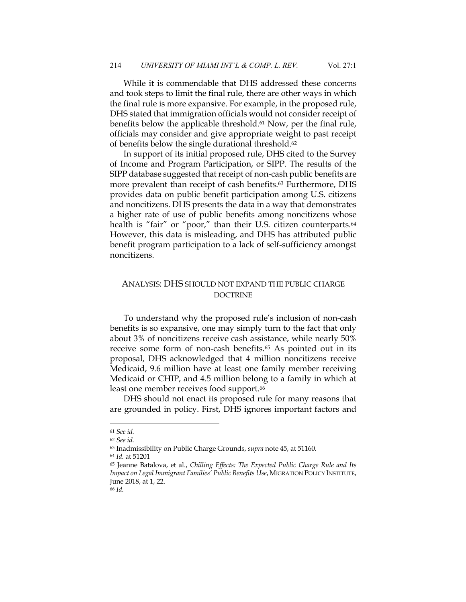While it is commendable that DHS addressed these concerns and took steps to limit the final rule, there are other ways in which the final rule is more expansive. For example, in the proposed rule, DHS stated that immigration officials would not consider receipt of benefits below the applicable threshold.<sup>61</sup> Now, per the final rule, officials may consider and give appropriate weight to past receipt of benefits below the single durational threshold.62

In support of its initial proposed rule, DHS cited to the Survey of Income and Program Participation, or SIPP. The results of the SIPP database suggested that receipt of non-cash public benefits are more prevalent than receipt of cash benefits.<sup>63</sup> Furthermore, DHS provides data on public benefit participation among U.S. citizens and noncitizens. DHS presents the data in a way that demonstrates a higher rate of use of public benefits among noncitizens whose health is "fair" or "poor," than their U.S. citizen counterparts.<sup>64</sup> However, this data is misleading, and DHS has attributed public benefit program participation to a lack of self-sufficiency amongst noncitizens.

## ANALYSIS: DHS SHOULD NOT EXPAND THE PUBLIC CHARGE DOCTRINE

To understand why the proposed rule's inclusion of non-cash benefits is so expansive, one may simply turn to the fact that only about 3% of noncitizens receive cash assistance, while nearly 50% receive some form of non-cash benefits.65 As pointed out in its proposal, DHS acknowledged that 4 million noncitizens receive Medicaid, 9.6 million have at least one family member receiving Medicaid or CHIP, and 4.5 million belong to a family in which at least one member receives food support.<sup>66</sup>

DHS should not enact its proposed rule for many reasons that are grounded in policy. First, DHS ignores important factors and

<sup>61</sup> *See id.*

<sup>62</sup> *See id.*

<sup>63</sup> Inadmissibility on Public Charge Grounds, *supra* note 45, at 51160.

<sup>64</sup> *Id.* at 51201

<sup>65</sup> Jeanne Batalova, et al., *Chilling Effects: The Expected Public Charge Rule and Its Impact on Legal Immigrant Families' Public Benefits Use*, MIGRATION POLICY INSTITUTE, June 2018, at 1, 22.

<sup>66</sup> *Id.*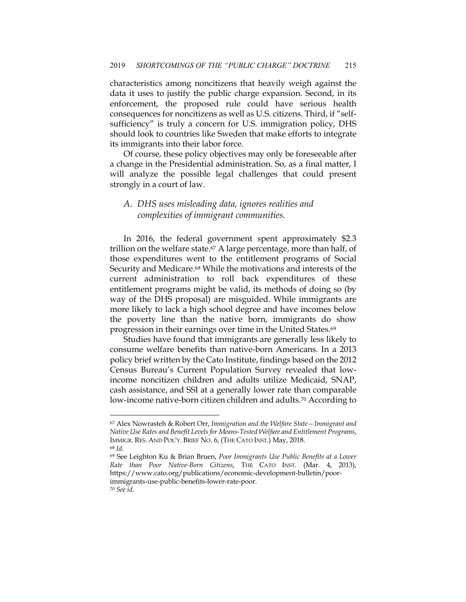characteristics among noncitizens that heavily weigh against the data it uses to justify the public charge expansion. Second, in its enforcement, the proposed rule could have serious health consequences for noncitizens as well as U.S. citizens. Third, if "selfsufficiency" is truly a concern for U.S. immigration policy, DHS should look to countries like Sweden that make efforts to integrate its immigrants into their labor force.

Of course, these policy objectives may only be foreseeable after a change in the Presidential administration. So, as a final matter, I will analyze the possible legal challenges that could present strongly in a court of law.

# *A. DHS uses misleading data, ignores realities and complexities of immigrant communities.*

In 2016, the federal government spent approximately \$2.3 trillion on the welfare state.<sup>67</sup> A large percentage, more than half, of those expenditures went to the entitlement programs of Social Security and Medicare.68 While the motivations and interests of the current administration to roll back expenditures of these entitlement programs might be valid, its methods of doing so (by way of the DHS proposal) are misguided. While immigrants are more likely to lack a high school degree and have incomes below the poverty line than the native born, immigrants do show progression in their earnings over time in the United States.69

Studies have found that immigrants are generally less likely to consume welfare benefits than native-born Americans. In a 2013 policy brief written by the Cato Institute, findings based on the 2012 Census Bureau's Current Population Survey revealed that lowincome noncitizen children and adults utilize Medicaid, SNAP, cash assistance, and SSI at a generally lower rate than comparable low-income native-born citizen children and adults.<sup>70</sup> According to

<sup>67</sup> Alex Nowrasteh & Robert Orr, *Immigration and the Welfare State—Immigrant and Native Use Rates and Benefit Levels for Means-Tested Welfare and Entitlement Programs*, IMMIGR. RES. AND POL'Y. BRIEF NO. 6, (THE CATO INST.) May, 2018. <sup>68</sup> *Id.*

<sup>69</sup> See Leighton Ku & Brian Bruen, *Poor Immigrants Use Public Benefits at a Lower Rate than Poor Native-Born Citizens*, THE CATO INST. (Mar. 4, 2013), https://www.cato.org/publications/economic-development-bulletin/poorimmigrants-use-public-benefits-lower-rate-poor.

<sup>70</sup> *See id.*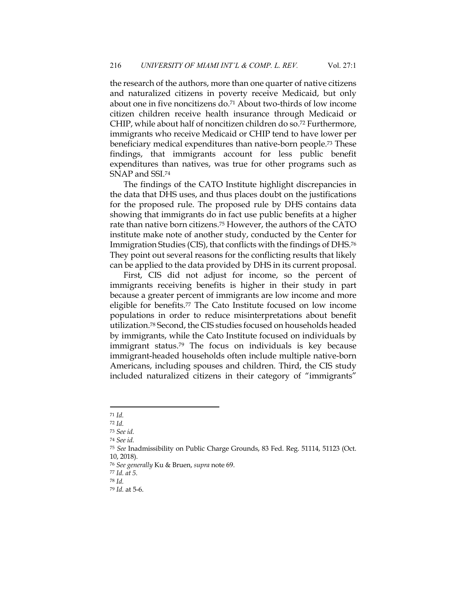the research of the authors, more than one quarter of native citizens and naturalized citizens in poverty receive Medicaid, but only about one in five noncitizens do.71 About two-thirds of low income citizen children receive health insurance through Medicaid or CHIP, while about half of noncitizen children do so.72 Furthermore, immigrants who receive Medicaid or CHIP tend to have lower per beneficiary medical expenditures than native-born people.73 These findings, that immigrants account for less public benefit expenditures than natives, was true for other programs such as SNAP and SSI.74

The findings of the CATO Institute highlight discrepancies in the data that DHS uses, and thus places doubt on the justifications for the proposed rule. The proposed rule by DHS contains data showing that immigrants do in fact use public benefits at a higher rate than native born citizens.75 However, the authors of the CATO institute make note of another study, conducted by the Center for Immigration Studies (CIS), that conflicts with the findings of DHS.76 They point out several reasons for the conflicting results that likely can be applied to the data provided by DHS in its current proposal.

First, CIS did not adjust for income, so the percent of immigrants receiving benefits is higher in their study in part because a greater percent of immigrants are low income and more eligible for benefits.77 The Cato Institute focused on low income populations in order to reduce misinterpretations about benefit utilization.78 Second, the CIS studies focused on households headed by immigrants, while the Cato Institute focused on individuals by immigrant status.79 The focus on individuals is key because immigrant-headed households often include multiple native-born Americans, including spouses and children. Third, the CIS study included naturalized citizens in their category of "immigrants"

<sup>78</sup> *Id.*

<sup>71</sup> *Id.*

<sup>72</sup> *Id.*

<sup>73</sup> *See id.*

<sup>74</sup> *See id.*

<sup>75</sup> *See* Inadmissibility on Public Charge Grounds, 83 Fed. Reg. 51114, 51123 (Oct. 10, 2018).

<sup>76</sup> *See generally* Ku & Bruen, *supra* note 69.

<sup>77</sup> *Id. at 5.*

<sup>79</sup> *Id.* at 5-6.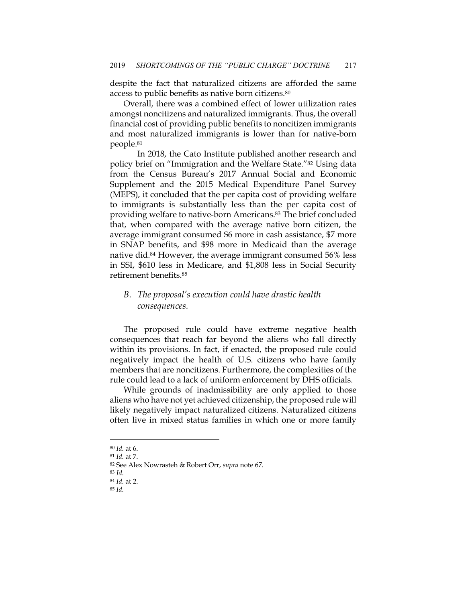despite the fact that naturalized citizens are afforded the same access to public benefits as native born citizens.80

Overall, there was a combined effect of lower utilization rates amongst noncitizens and naturalized immigrants. Thus, the overall financial cost of providing public benefits to noncitizen immigrants and most naturalized immigrants is lower than for native-born people.81

In 2018, the Cato Institute published another research and policy brief on "Immigration and the Welfare State."82 Using data from the Census Bureau's 2017 Annual Social and Economic Supplement and the 2015 Medical Expenditure Panel Survey (MEPS), it concluded that the per capita cost of providing welfare to immigrants is substantially less than the per capita cost of providing welfare to native-born Americans.83 The brief concluded that, when compared with the average native born citizen, the average immigrant consumed \$6 more in cash assistance, \$7 more in SNAP benefits, and \$98 more in Medicaid than the average native did.84 However, the average immigrant consumed 56% less in SSI, \$610 less in Medicare, and \$1,808 less in Social Security retirement benefits.85

# *B. The proposal's execution could have drastic health consequences.*

The proposed rule could have extreme negative health consequences that reach far beyond the aliens who fall directly within its provisions. In fact, if enacted, the proposed rule could negatively impact the health of U.S. citizens who have family members that are noncitizens. Furthermore, the complexities of the rule could lead to a lack of uniform enforcement by DHS officials.

While grounds of inadmissibility are only applied to those aliens who have not yet achieved citizenship, the proposed rule will likely negatively impact naturalized citizens. Naturalized citizens often live in mixed status families in which one or more family

<sup>80</sup> *Id.* at 6.

<sup>81</sup> *Id.* at 7.

<sup>82</sup> See Alex Nowrasteh & Robert Orr, *supra* note 67.

<sup>83</sup> *Id.*

<sup>84</sup> *Id.* at 2.

<sup>85</sup> *Id.*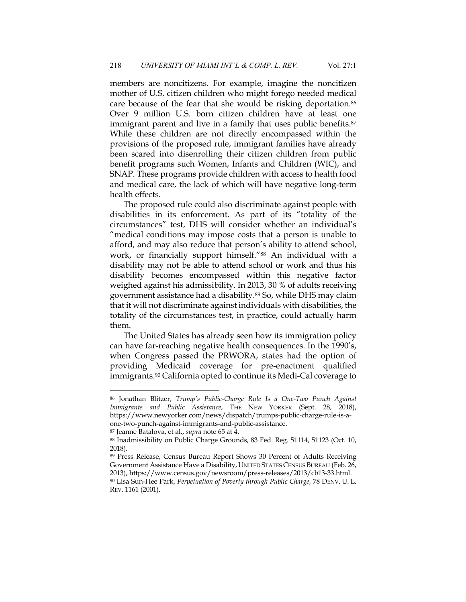members are noncitizens. For example, imagine the noncitizen mother of U.S. citizen children who might forego needed medical care because of the fear that she would be risking deportation.86 Over 9 million U.S. born citizen children have at least one immigrant parent and live in a family that uses public benefits.<sup>87</sup> While these children are not directly encompassed within the provisions of the proposed rule, immigrant families have already been scared into disenrolling their citizen children from public benefit programs such Women, Infants and Children (WIC), and SNAP. These programs provide children with access to health food and medical care, the lack of which will have negative long-term health effects.

The proposed rule could also discriminate against people with disabilities in its enforcement. As part of its "totality of the circumstances" test, DHS will consider whether an individual's "medical conditions may impose costs that a person is unable to afford, and may also reduce that person's ability to attend school, work, or financially support himself."88 An individual with a disability may not be able to attend school or work and thus his disability becomes encompassed within this negative factor weighed against his admissibility. In 2013, 30 % of adults receiving government assistance had a disability.89 So, while DHS may claim that it will not discriminate against individuals with disabilities, the totality of the circumstances test, in practice, could actually harm them.

The United States has already seen how its immigration policy can have far-reaching negative health consequences. In the 1990's, when Congress passed the PRWORA, states had the option of providing Medicaid coverage for pre-enactment qualified immigrants.90 California opted to continue its Medi-Cal coverage to

<sup>86</sup> Jonathan Blitzer, *Trump's Public-Charge Rule Is a One-Two Punch Against Immigrants and Public Assistance*, THE NEW YORKER (Sept. 28, 2018), https://www.newyorker.com/news/dispatch/trumps-public-charge-rule-is-aone-two-punch-against-immigrants-and-public-assistance.

<sup>87</sup> Jeanne Batalova, et al., *supra* note 65 at 4.

<sup>88</sup> Inadmissibility on Public Charge Grounds, 83 Fed. Reg. 51114, 51123 (Oct. 10, 2018).

<sup>89</sup> Press Release, Census Bureau Report Shows 30 Percent of Adults Receiving Government Assistance Have a Disability, UNITED STATES CENSUS BUREAU (Feb. 26, 2013), https://www.census.gov/newsroom/press-releases/2013/cb13-33.html. <sup>90</sup> Lisa Sun-Hee Park, *Perpetuation of Poverty through Public Charge*, 78 DENV. U. L.

REV. 1161 (2001).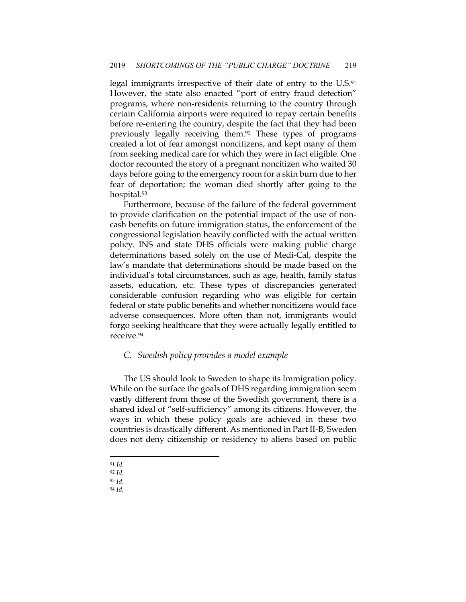legal immigrants irrespective of their date of entry to the U.S.<sup>91</sup> However, the state also enacted "port of entry fraud detection" programs, where non-residents returning to the country through certain California airports were required to repay certain benefits before re-entering the country, despite the fact that they had been previously legally receiving them.92 These types of programs created a lot of fear amongst noncitizens, and kept many of them from seeking medical care for which they were in fact eligible. One doctor recounted the story of a pregnant noncitizen who waited 30 days before going to the emergency room for a skin burn due to her fear of deportation; the woman died shortly after going to the hospital.93

Furthermore, because of the failure of the federal government to provide clarification on the potential impact of the use of noncash benefits on future immigration status, the enforcement of the congressional legislation heavily conflicted with the actual written policy. INS and state DHS officials were making public charge determinations based solely on the use of Medi-Cal, despite the law's mandate that determinations should be made based on the individual's total circumstances, such as age, health, family status assets, education, etc. These types of discrepancies generated considerable confusion regarding who was eligible for certain federal or state public benefits and whether noncitizens would face adverse consequences. More often than not, immigrants would forgo seeking healthcare that they were actually legally entitled to receive.94

## *C. Swedish policy provides a model example*

The US should look to Sweden to shape its Immigration policy. While on the surface the goals of DHS regarding immigration seem vastly different from those of the Swedish government, there is a shared ideal of "self-sufficiency" among its citizens. However, the ways in which these policy goals are achieved in these two countries is drastically different. As mentioned in Part II-B, Sweden does not deny citizenship or residency to aliens based on public

<sup>91</sup> *Id.*

<sup>92</sup> *Id.*

<sup>93</sup> *Id.*

<sup>94</sup> *Id.*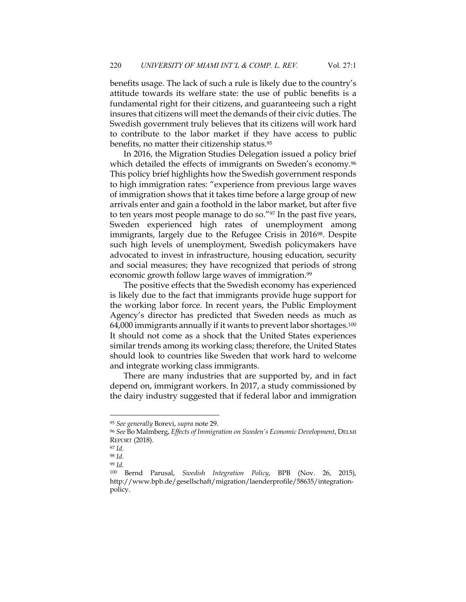benefits usage. The lack of such a rule is likely due to the country's attitude towards its welfare state: the use of public benefits is a fundamental right for their citizens, and guaranteeing such a right insures that citizens will meet the demands of their civic duties. The Swedish government truly believes that its citizens will work hard to contribute to the labor market if they have access to public benefits, no matter their citizenship status.95

In 2016, the Migration Studies Delegation issued a policy brief which detailed the effects of immigrants on Sweden's economy.<sup>96</sup> This policy brief highlights how the Swedish government responds to high immigration rates: "experience from previous large waves of immigration shows that it takes time before a large group of new arrivals enter and gain a foothold in the labor market, but after five to ten years most people manage to do so."97 In the past five years, Sweden experienced high rates of unemployment among immigrants, largely due to the Refugee Crisis in 2016<sup>98</sup>. Despite such high levels of unemployment, Swedish policymakers have advocated to invest in infrastructure, housing education, security and social measures; they have recognized that periods of strong economic growth follow large waves of immigration.<sup>99</sup>

The positive effects that the Swedish economy has experienced is likely due to the fact that immigrants provide huge support for the working labor force. In recent years, the Public Employment Agency's director has predicted that Sweden needs as much as 64,000 immigrants annually if it wants to prevent labor shortages.100 It should not come as a shock that the United States experiences similar trends among its working class; therefore, the United States should look to countries like Sweden that work hard to welcome and integrate working class immigrants.

There are many industries that are supported by, and in fact depend on, immigrant workers. In 2017, a study commissioned by the dairy industry suggested that if federal labor and immigration

<sup>95</sup> *See generally* Borevi, *supra* note 29.

<sup>96</sup> *See* Bo Malmberg, *Effects of Immigration on Sweden's Economic Development*, DELMI REPORT (2018).

<sup>97</sup> *Id.*

<sup>98</sup> *Id.*

<sup>99</sup> *Id.*

<sup>100</sup> Bernd Parusal, *Swedish Integration Policy*, BPB (Nov. 26, 2015), http://www.bpb.de/gesellschaft/migration/laenderprofile/58635/integrationpolicy.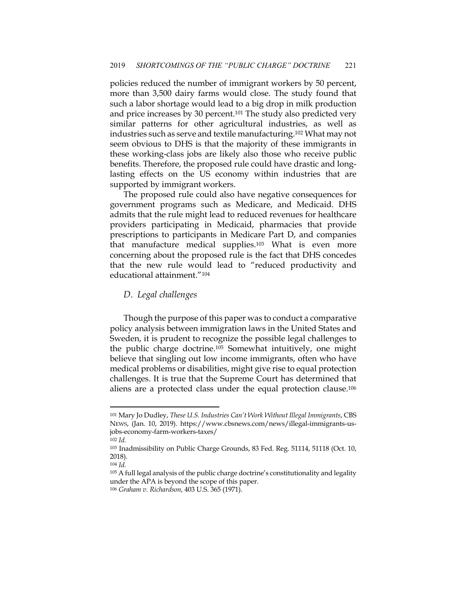policies reduced the number of immigrant workers by 50 percent, more than 3,500 dairy farms would close. The study found that such a labor shortage would lead to a big drop in milk production and price increases by 30 percent.101 The study also predicted very similar patterns for other agricultural industries, as well as industries such as serve and textile manufacturing.102 What may not seem obvious to DHS is that the majority of these immigrants in these working-class jobs are likely also those who receive public benefits. Therefore, the proposed rule could have drastic and longlasting effects on the US economy within industries that are supported by immigrant workers.

The proposed rule could also have negative consequences for government programs such as Medicare, and Medicaid. DHS admits that the rule might lead to reduced revenues for healthcare providers participating in Medicaid, pharmacies that provide prescriptions to participants in Medicare Part D, and companies that manufacture medical supplies.103 What is even more concerning about the proposed rule is the fact that DHS concedes that the new rule would lead to "reduced productivity and educational attainment."104

#### *D. Legal challenges*

Though the purpose of this paper was to conduct a comparative policy analysis between immigration laws in the United States and Sweden, it is prudent to recognize the possible legal challenges to the public charge doctrine.105 Somewhat intuitively, one might believe that singling out low income immigrants, often who have medical problems or disabilities, might give rise to equal protection challenges. It is true that the Supreme Court has determined that aliens are a protected class under the equal protection clause.106

<sup>101</sup> Mary Jo Dudley, *These U.S. Industries Can't Work Without Illegal Immigrants*, CBS NEWS, (Jan. 10, 2019). https://www.cbsnews.com/news/illegal-immigrants-usjobs-economy-farm-workers-taxes/

<sup>102</sup> *Id.*

<sup>103</sup> Inadmissibility on Public Charge Grounds, 83 Fed. Reg. 51114, 51118 (Oct. 10, 2018).

<sup>104</sup> *Id.*

<sup>105</sup> A full legal analysis of the public charge doctrine's constitutionality and legality under the APA is beyond the scope of this paper.

<sup>106</sup> *Graham v. Richardson*, 403 U.S. 365 (1971).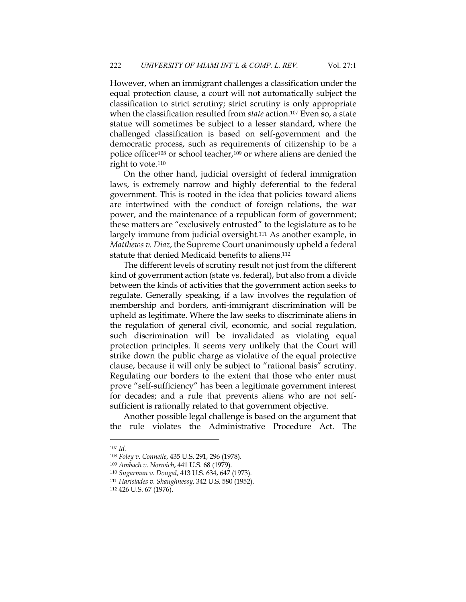However, when an immigrant challenges a classification under the equal protection clause, a court will not automatically subject the classification to strict scrutiny; strict scrutiny is only appropriate when the classification resulted from *state* action.107 Even so, a state statue will sometimes be subject to a lesser standard, where the challenged classification is based on self-government and the democratic process, such as requirements of citizenship to be a police officer108 or school teacher,109 or where aliens are denied the right to vote.110

On the other hand, judicial oversight of federal immigration laws, is extremely narrow and highly deferential to the federal government. This is rooted in the idea that policies toward aliens are intertwined with the conduct of foreign relations, the war power, and the maintenance of a republican form of government; these matters are "exclusively entrusted" to the legislature as to be largely immune from judicial oversight.111 As another example, in *Matthews v. Diaz*, the Supreme Court unanimously upheld a federal statute that denied Medicaid benefits to aliens.112

The different levels of scrutiny result not just from the different kind of government action (state vs. federal), but also from a divide between the kinds of activities that the government action seeks to regulate. Generally speaking, if a law involves the regulation of membership and borders, anti-immigrant discrimination will be upheld as legitimate. Where the law seeks to discriminate aliens in the regulation of general civil, economic, and social regulation, such discrimination will be invalidated as violating equal protection principles. It seems very unlikely that the Court will strike down the public charge as violative of the equal protective clause, because it will only be subject to "rational basis" scrutiny. Regulating our borders to the extent that those who enter must prove "self-sufficiency" has been a legitimate government interest for decades; and a rule that prevents aliens who are not selfsufficient is rationally related to that government objective.

Another possible legal challenge is based on the argument that the rule violates the Administrative Procedure Act. The

<sup>107</sup> *Id.*

<sup>108</sup> *Foley v. Conneile*, 435 U.S. 291, 296 (1978).

<sup>109</sup> *Ambach v. Norwich*, 441 U.S. 68 (1979).

<sup>110</sup> *Sugarman v. Dougal*, 413 U.S. 634, 647 (1973).

<sup>111</sup> *Harisiades v. Shaughnessy*, 342 U.S. 580 (1952).

<sup>112</sup> 426 U.S. 67 (1976).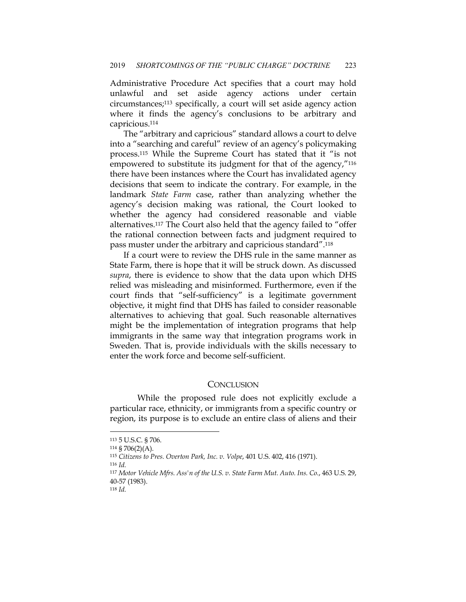Administrative Procedure Act specifies that a court may hold unlawful and set aside agency actions under certain circumstances;113 specifically, a court will set aside agency action where it finds the agency's conclusions to be arbitrary and capricious.114

The "arbitrary and capricious" standard allows a court to delve into a "searching and careful" review of an agency's policymaking process.115 While the Supreme Court has stated that it "is not empowered to substitute its judgment for that of the agency,"116 there have been instances where the Court has invalidated agency decisions that seem to indicate the contrary. For example, in the landmark *State Farm* case, rather than analyzing whether the agency's decision making was rational, the Court looked to whether the agency had considered reasonable and viable alternatives.117 The Court also held that the agency failed to "offer the rational connection between facts and judgment required to pass muster under the arbitrary and capricious standard".118

If a court were to review the DHS rule in the same manner as State Farm, there is hope that it will be struck down. As discussed *supra*, there is evidence to show that the data upon which DHS relied was misleading and misinformed. Furthermore, even if the court finds that "self-sufficiency" is a legitimate government objective, it might find that DHS has failed to consider reasonable alternatives to achieving that goal. Such reasonable alternatives might be the implementation of integration programs that help immigrants in the same way that integration programs work in Sweden. That is, provide individuals with the skills necessary to enter the work force and become self-sufficient.

### **CONCLUSION**

While the proposed rule does not explicitly exclude a particular race, ethnicity, or immigrants from a specific country or region, its purpose is to exclude an entire class of aliens and their

<sup>113</sup> 5 U.S.C. § 706.

<sup>114</sup> § 706(2)(A).

<sup>115</sup> *Citizens to Pres. Overton Park, Inc. v. Volpe*, 401 U.S. 402, 416 (1971).

<sup>116</sup> *Id.*

<sup>117</sup> *Motor Vehicle Mfrs. Ass'n of the U.S. v. State Farm Mut. Auto. Ins. Co.*, 463 U.S. 29, 40-57 (1983).

<sup>118</sup> *Id.*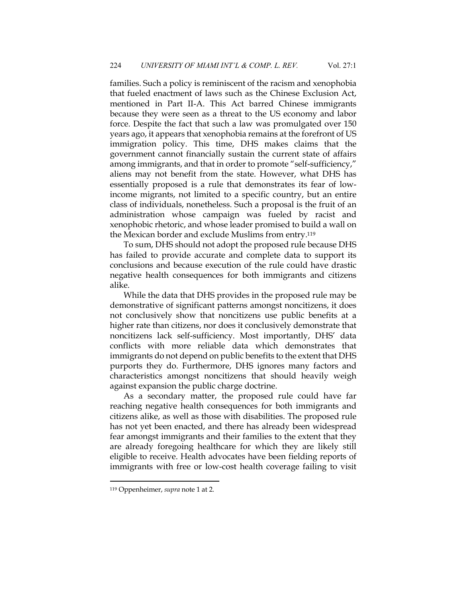families. Such a policy is reminiscent of the racism and xenophobia that fueled enactment of laws such as the Chinese Exclusion Act, mentioned in Part II-A. This Act barred Chinese immigrants because they were seen as a threat to the US economy and labor force. Despite the fact that such a law was promulgated over 150 years ago, it appears that xenophobia remains at the forefront of US immigration policy. This time, DHS makes claims that the government cannot financially sustain the current state of affairs among immigrants, and that in order to promote "self-sufficiency," aliens may not benefit from the state. However, what DHS has essentially proposed is a rule that demonstrates its fear of lowincome migrants, not limited to a specific country, but an entire class of individuals, nonetheless. Such a proposal is the fruit of an administration whose campaign was fueled by racist and xenophobic rhetoric, and whose leader promised to build a wall on the Mexican border and exclude Muslims from entry.119

To sum, DHS should not adopt the proposed rule because DHS has failed to provide accurate and complete data to support its conclusions and because execution of the rule could have drastic negative health consequences for both immigrants and citizens alike.

While the data that DHS provides in the proposed rule may be demonstrative of significant patterns amongst noncitizens, it does not conclusively show that noncitizens use public benefits at a higher rate than citizens, nor does it conclusively demonstrate that noncitizens lack self-sufficiency. Most importantly, DHS' data conflicts with more reliable data which demonstrates that immigrants do not depend on public benefits to the extent that DHS purports they do. Furthermore, DHS ignores many factors and characteristics amongst noncitizens that should heavily weigh against expansion the public charge doctrine.

As a secondary matter, the proposed rule could have far reaching negative health consequences for both immigrants and citizens alike, as well as those with disabilities. The proposed rule has not yet been enacted, and there has already been widespread fear amongst immigrants and their families to the extent that they are already foregoing healthcare for which they are likely still eligible to receive. Health advocates have been fielding reports of immigrants with free or low-cost health coverage failing to visit

<sup>119</sup> Oppenheimer, *supra* note 1 at 2.